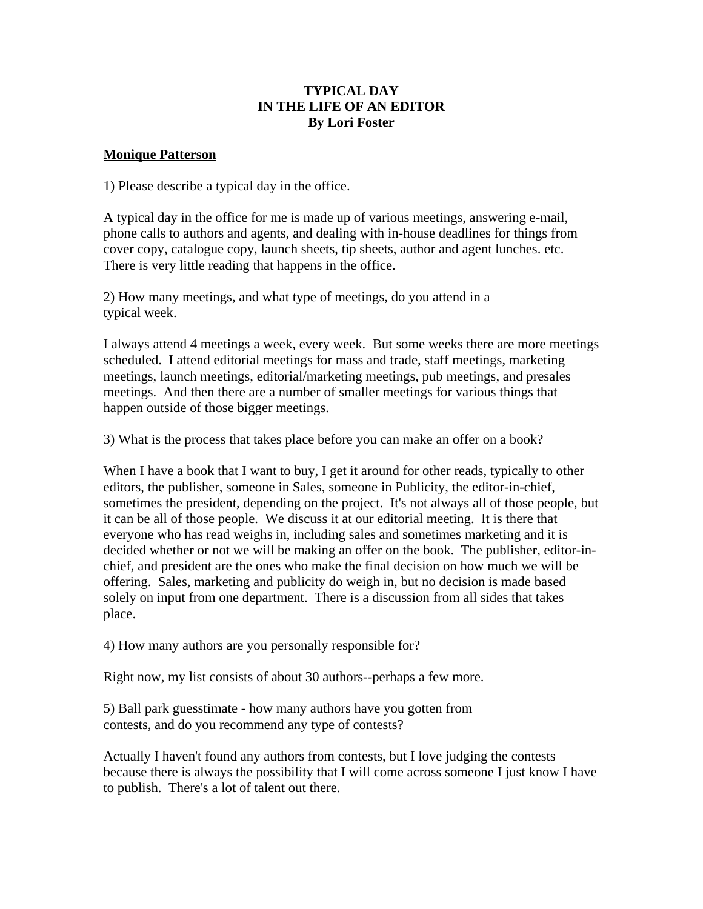## **TYPICAL DAY IN THE LIFE OF AN EDITOR By Lori Foster**

#### **Monique Patterson**

1) Please describe a typical day in the office.

A typical day in the office for me is made up of various meetings, answering e-mail, phone calls to authors and agents, and dealing with in-house deadlines for things from cover copy, catalogue copy, launch sheets, tip sheets, author and agent lunches. etc. There is very little reading that happens in the office.

2) How many meetings, and what type of meetings, do you attend in a typical week.

I always attend 4 meetings a week, every week. But some weeks there are more meetings scheduled. I attend editorial meetings for mass and trade, staff meetings, marketing meetings, launch meetings, editorial/marketing meetings, pub meetings, and presales meetings. And then there are a number of smaller meetings for various things that happen outside of those bigger meetings.

3) What is the process that takes place before you can make an offer on a book?

When I have a book that I want to buy, I get it around for other reads, typically to other editors, the publisher, someone in Sales, someone in Publicity, the editor-in-chief, sometimes the president, depending on the project. It's not always all of those people, but it can be all of those people. We discuss it at our editorial meeting. It is there that everyone who has read weighs in, including sales and sometimes marketing and it is decided whether or not we will be making an offer on the book. The publisher, editor-inchief, and president are the ones who make the final decision on how much we will be offering. Sales, marketing and publicity do weigh in, but no decision is made based solely on input from one department. There is a discussion from all sides that takes place.

4) How many authors are you personally responsible for?

Right now, my list consists of about 30 authors--perhaps a few more.

5) Ball park guesstimate - how many authors have you gotten from contests, and do you recommend any type of contests?

Actually I haven't found any authors from contests, but I love judging the contests because there is always the possibility that I will come across someone I just know I have to publish. There's a lot of talent out there.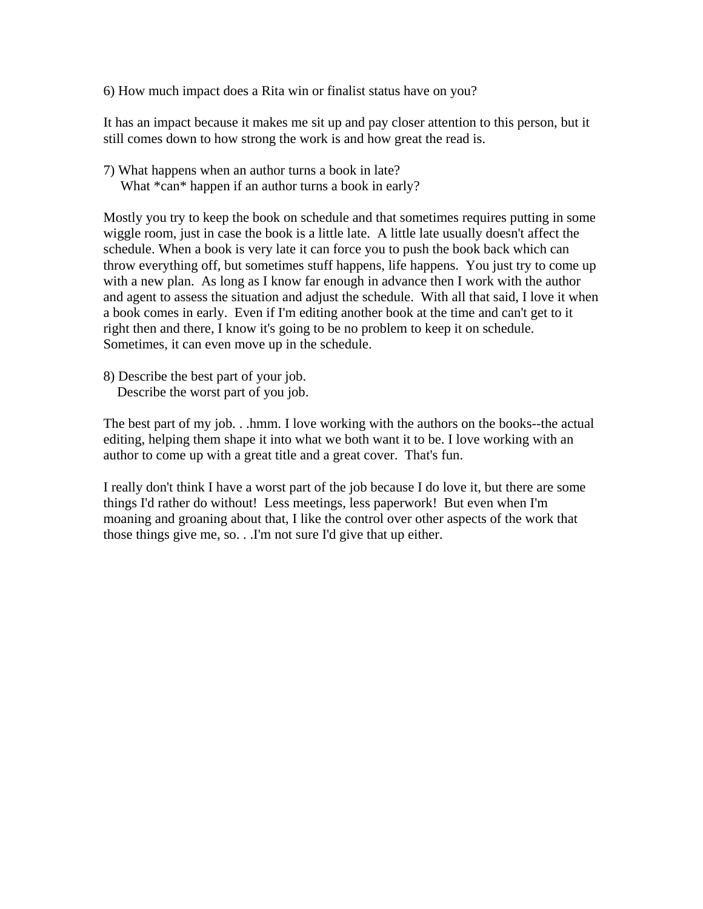6) How much impact does a Rita win or finalist status have on you?

It has an impact because it makes me sit up and pay closer attention to this person, but it still comes down to how strong the work is and how great the read is.

7) What happens when an author turns a book in late? What  $*$ can $*$  happen if an author turns a book in early?

Mostly you try to keep the book on schedule and that sometimes requires putting in some wiggle room, just in case the book is a little late. A little late usually doesn't affect the schedule. When a book is very late it can force you to push the book back which can throw everything off, but sometimes stuff happens, life happens. You just try to come up with a new plan. As long as I know far enough in advance then I work with the author and agent to assess the situation and adjust the schedule. With all that said, I love it when a book comes in early. Even if I'm editing another book at the time and can't get to it right then and there, I know it's going to be no problem to keep it on schedule. Sometimes, it can even move up in the schedule.

8) Describe the best part of your job. Describe the worst part of you job.

The best part of my job. . .hmm. I love working with the authors on the books--the actual editing, helping them shape it into what we both want it to be. I love working with an author to come up with a great title and a great cover. That's fun.

I really don't think I have a worst part of the job because I do love it, but there are some things I'd rather do without! Less meetings, less paperwork! But even when I'm moaning and groaning about that, I like the control over other aspects of the work that those things give me, so. . .I'm not sure I'd give that up either.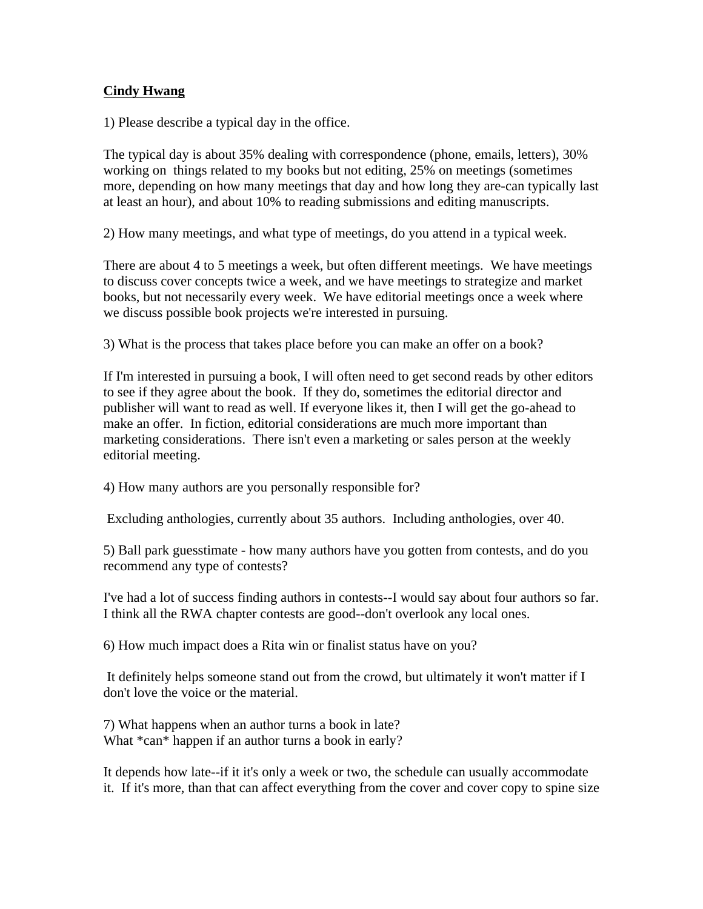## **Cindy Hwang**

1) Please describe a typical day in the office.

The typical day is about 35% dealing with correspondence (phone, emails, letters), 30% working on things related to my books but not editing, 25% on meetings (sometimes more, depending on how many meetings that day and how long they are-can typically last at least an hour), and about 10% to reading submissions and editing manuscripts.

2) How many meetings, and what type of meetings, do you attend in a typical week.

There are about 4 to 5 meetings a week, but often different meetings. We have meetings to discuss cover concepts twice a week, and we have meetings to strategize and market books, but not necessarily every week. We have editorial meetings once a week where we discuss possible book projects we're interested in pursuing.

3) What is the process that takes place before you can make an offer on a book?

If I'm interested in pursuing a book, I will often need to get second reads by other editors to see if they agree about the book. If they do, sometimes the editorial director and publisher will want to read as well. If everyone likes it, then I will get the go-ahead to make an offer. In fiction, editorial considerations are much more important than marketing considerations. There isn't even a marketing or sales person at the weekly editorial meeting.

4) How many authors are you personally responsible for?

Excluding anthologies, currently about 35 authors. Including anthologies, over 40.

5) Ball park guesstimate - how many authors have you gotten from contests, and do you recommend any type of contests?

I've had a lot of success finding authors in contests--I would say about four authors so far. I think all the RWA chapter contests are good--don't overlook any local ones.

6) How much impact does a Rita win or finalist status have on you?

 It definitely helps someone stand out from the crowd, but ultimately it won't matter if I don't love the voice or the material.

7) What happens when an author turns a book in late? What  $*$ can $*$  happen if an author turns a book in early?

It depends how late--if it it's only a week or two, the schedule can usually accommodate it. If it's more, than that can affect everything from the cover and cover copy to spine size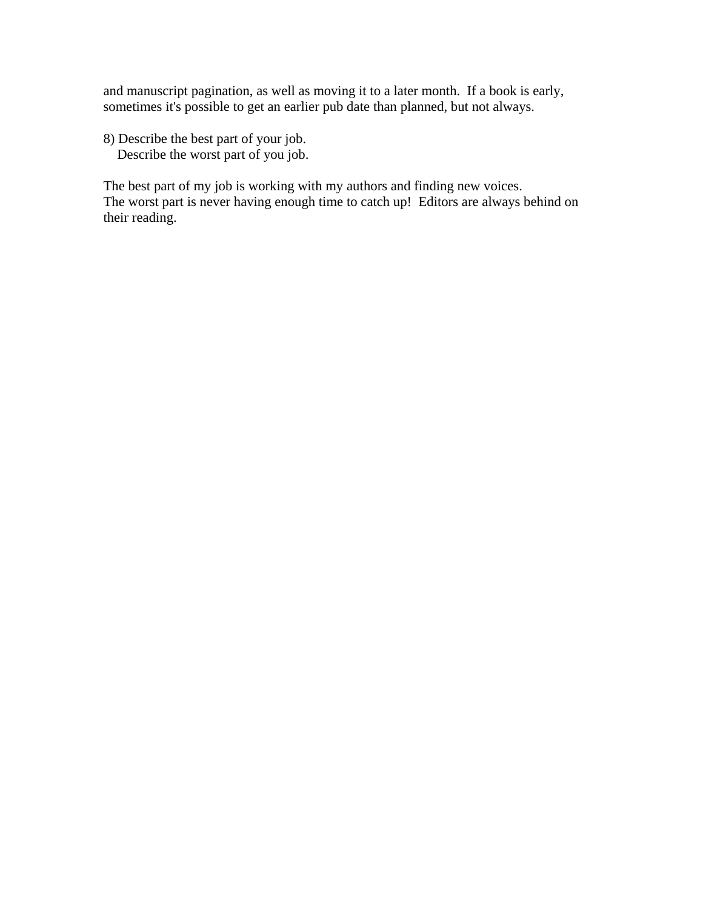and manuscript pagination, as well as moving it to a later month. If a book is early, sometimes it's possible to get an earlier pub date than planned, but not always.

8) Describe the best part of your job. Describe the worst part of you job.

The best part of my job is working with my authors and finding new voices. The worst part is never having enough time to catch up! Editors are always behind on their reading.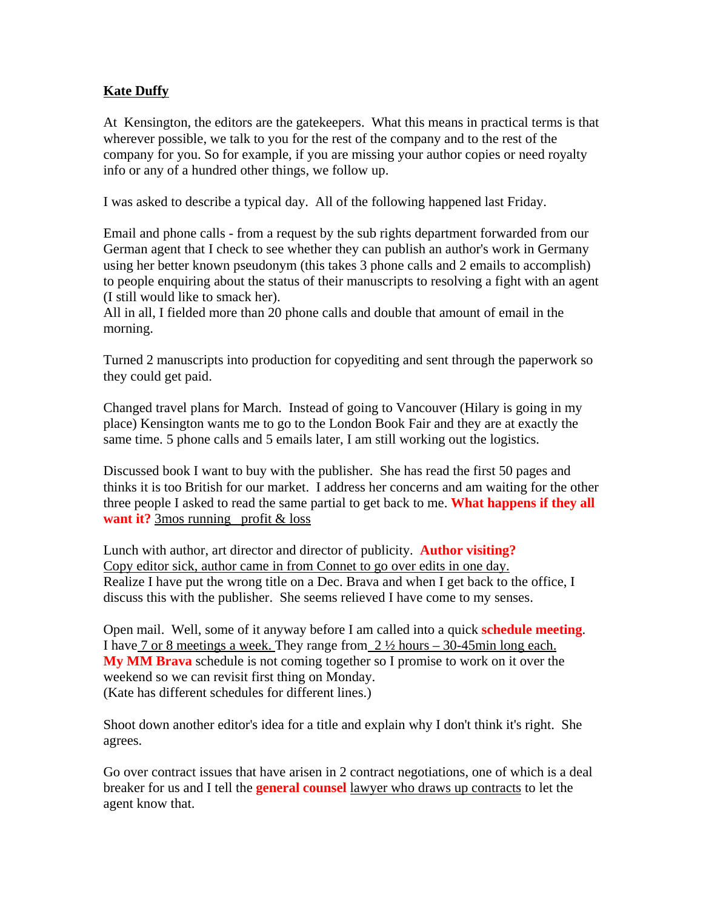# **Kate Duffy**

At Kensington, the editors are the gatekeepers. What this means in practical terms is that wherever possible, we talk to you for the rest of the company and to the rest of the company for you. So for example, if you are missing your author copies or need royalty info or any of a hundred other things, we follow up.

I was asked to describe a typical day. All of the following happened last Friday.

Email and phone calls - from a request by the sub rights department forwarded from our German agent that I check to see whether they can publish an author's work in Germany using her better known pseudonym (this takes 3 phone calls and 2 emails to accomplish) to people enquiring about the status of their manuscripts to resolving a fight with an agent (I still would like to smack her).

All in all, I fielded more than 20 phone calls and double that amount of email in the morning.

Turned 2 manuscripts into production for copyediting and sent through the paperwork so they could get paid.

Changed travel plans for March. Instead of going to Vancouver (Hilary is going in my place) Kensington wants me to go to the London Book Fair and they are at exactly the same time. 5 phone calls and 5 emails later, I am still working out the logistics.

Discussed book I want to buy with the publisher. She has read the first 50 pages and thinks it is too British for our market. I address her concerns and am waiting for the other three people I asked to read the same partial to get back to me. **What happens if they all want it?** 3mos running profit & loss

Lunch with author, art director and director of publicity. **Author visiting?** Copy editor sick, author came in from Connet to go over edits in one day. Realize I have put the wrong title on a Dec. Brava and when I get back to the office, I discuss this with the publisher. She seems relieved I have come to my senses.

Open mail. Well, some of it anyway before I am called into a quick **schedule meeting**. I have 7 or 8 meetings a week. They range from 2 ½ hours – 30-45min long each. **My MM Brava** schedule is not coming together so I promise to work on it over the weekend so we can revisit first thing on Monday. (Kate has different schedules for different lines.)

Shoot down another editor's idea for a title and explain why I don't think it's right. She agrees.

Go over contract issues that have arisen in 2 contract negotiations, one of which is a deal breaker for us and I tell the **general counsel** lawyer who draws up contracts to let the agent know that.